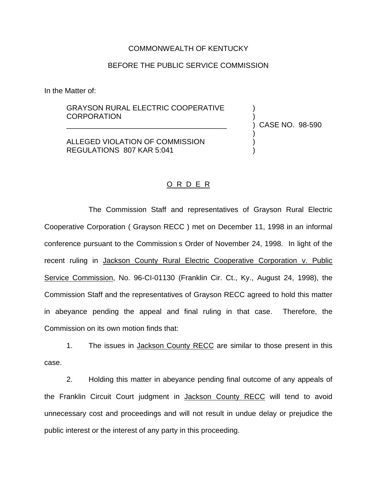## COMMONWEALTH OF KENTUCKY

## BEFORE THE PUBLIC SERVICE COMMISSION

In the Matter of:

## GRAYSON RURAL ELECTRIC COOPERATIVE **CORPORATION**

\_\_\_\_\_\_\_\_\_\_\_\_\_\_\_\_\_\_\_\_\_\_\_\_\_\_\_\_\_\_\_\_\_\_\_\_\_\_\_

ALLEGED VIOLATION OF COMMISSION REGULATIONS 807 KAR 5:041

) CASE NO. 98-590

) )

) ) )

## O R D E R

The Commission Staff and representatives of Grayson Rural Electric Cooperative Corporation ( Grayson RECC ) met on December 11, 1998 in an informal conference pursuant to the Commission s Order of November 24, 1998. In light of the recent ruling in Jackson County Rural Electric Cooperative Corporation v. Public Service Commission, No. 96-CI-01130 (Franklin Cir. Ct., Ky., August 24, 1998), the Commission Staff and the representatives of Grayson RECC agreed to hold this matter in abeyance pending the appeal and final ruling in that case. Therefore, the Commission on its own motion finds that:

1. The issues in Jackson County RECC are similar to those present in this case.

2. Holding this matter in abeyance pending final outcome of any appeals of the Franklin Circuit Court judgment in Jackson County RECC will tend to avoid unnecessary cost and proceedings and will not result in undue delay or prejudice the public interest or the interest of any party in this proceeding.